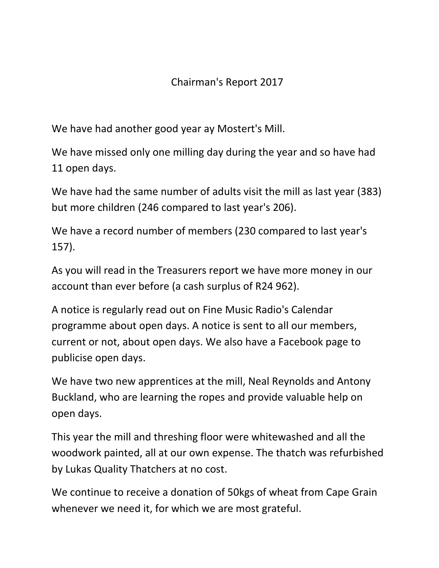## Chairman's Report 2017

We have had another good year ay Mostert's Mill.

We have missed only one milling day during the year and so have had 11 open days.

We have had the same number of adults visit the mill as last year (383) but more children (246 compared to last year's 206).

We have a record number of members (230 compared to last year's 157).

As you will read in the Treasurers report we have more money in our account than ever before (a cash surplus of R24 962).

A notice is regularly read out on Fine Music Radio's Calendar programme about open days. A notice is sent to all our members, current or not, about open days. We also have a Facebook page to publicise open days.

We have two new apprentices at the mill, Neal Reynolds and Antony Buckland, who are learning the ropes and provide valuable help on open days.

This year the mill and threshing floor were whitewashed and all the woodwork painted, all at our own expense. The thatch was refurbished by Lukas Quality Thatchers at no cost.

We continue to receive a donation of 50kgs of wheat from Cape Grain whenever we need it, for which we are most grateful.